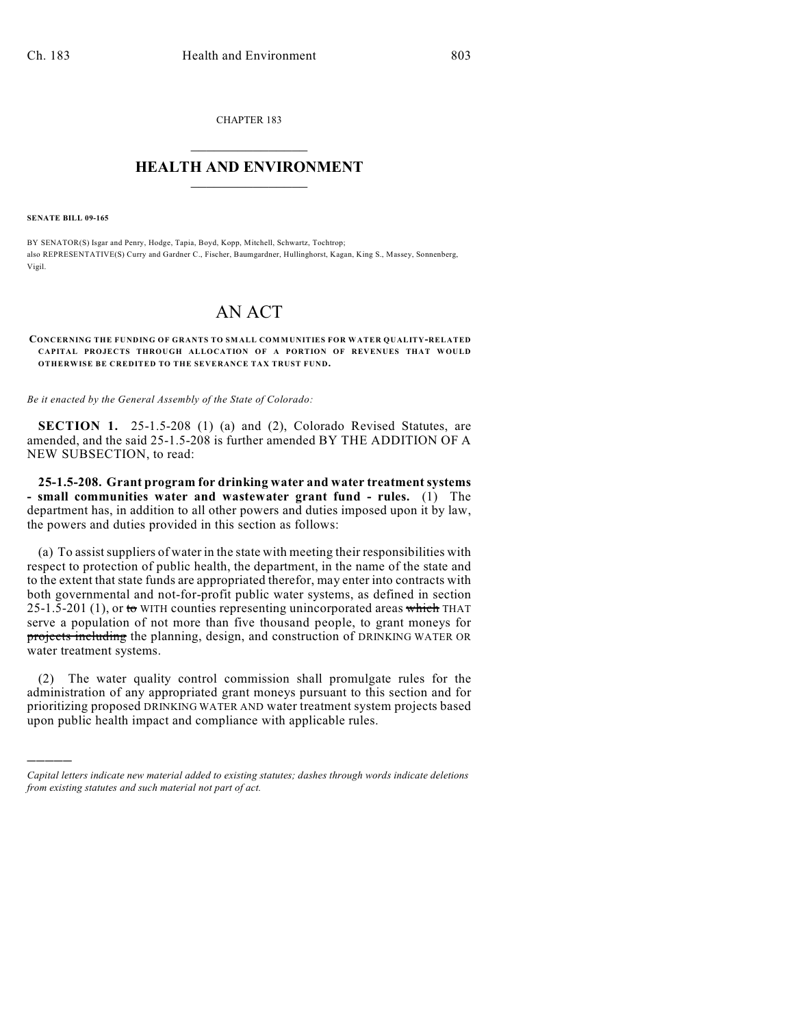CHAPTER 183  $\mathcal{L}_\text{max}$  . The set of the set of the set of the set of the set of the set of the set of the set of the set of the set of the set of the set of the set of the set of the set of the set of the set of the set of the set

## **HEALTH AND ENVIRONMENT**  $\_$

**SENATE BILL 09-165**

)))))

BY SENATOR(S) Isgar and Penry, Hodge, Tapia, Boyd, Kopp, Mitchell, Schwartz, Tochtrop; also REPRESENTATIVE(S) Curry and Gardner C., Fischer, Baumgardner, Hullinghorst, Kagan, King S., Massey, Sonnenberg, Vigil.

## AN ACT

## **CONCERNING THE FUNDING OF GRANTS TO SMALL COM MUNITIES FOR WATER QUALITY-RELATED CAPITAL PROJECTS THROUGH ALLOCATION OF A PORTION OF REVENUES THAT WOULD OTHERWISE BE CREDITED TO THE SEVERANCE TAX TRUST FUND.**

*Be it enacted by the General Assembly of the State of Colorado:*

**SECTION 1.** 25-1.5-208 (1) (a) and (2), Colorado Revised Statutes, are amended, and the said 25-1.5-208 is further amended BY THE ADDITION OF A NEW SUBSECTION, to read:

**25-1.5-208. Grant program for drinking water and water treatment systems - small communities water and wastewater grant fund - rules.** (1) The department has, in addition to all other powers and duties imposed upon it by law, the powers and duties provided in this section as follows:

(a) To assist suppliers of water in the state with meeting their responsibilities with respect to protection of public health, the department, in the name of the state and to the extent that state funds are appropriated therefor, may enter into contracts with both governmental and not-for-profit public water systems, as defined in section 25-1.5-201 (1), or to WITH counties representing unincorporated areas which THAT serve a population of not more than five thousand people, to grant moneys for projects including the planning, design, and construction of DRINKING WATER OR water treatment systems.

(2) The water quality control commission shall promulgate rules for the administration of any appropriated grant moneys pursuant to this section and for prioritizing proposed DRINKING WATER AND water treatment system projects based upon public health impact and compliance with applicable rules.

*Capital letters indicate new material added to existing statutes; dashes through words indicate deletions from existing statutes and such material not part of act.*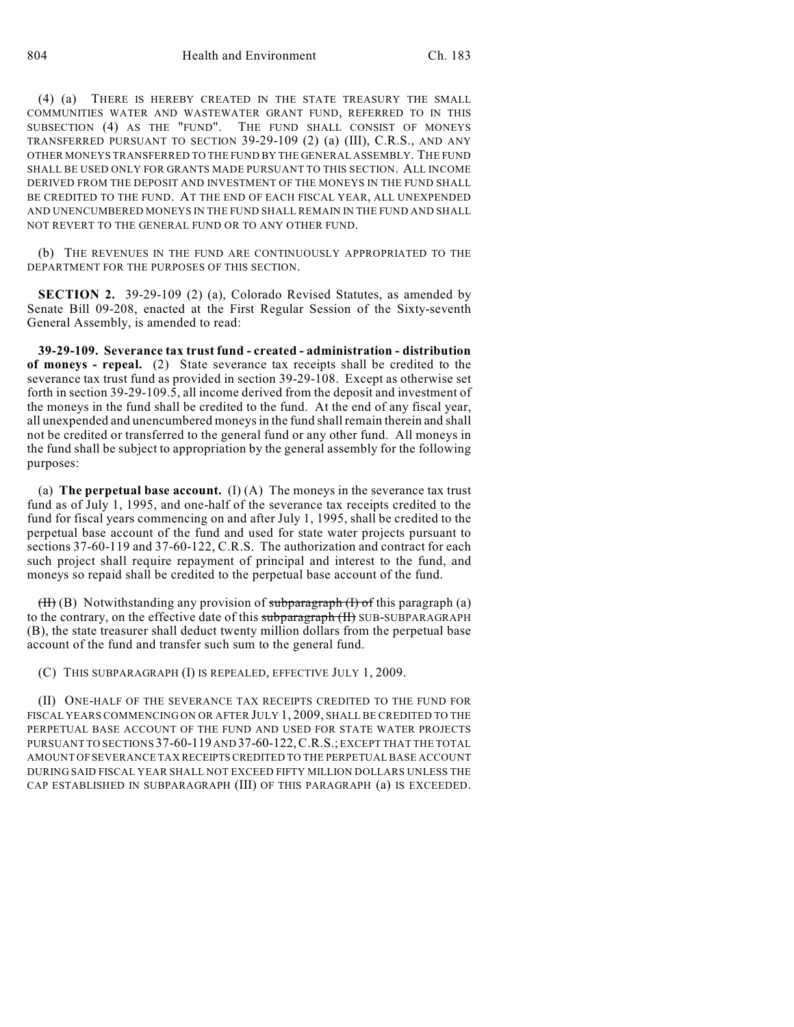(4) (a) THERE IS HEREBY CREATED IN THE STATE TREASURY THE SMALL COMMUNITIES WATER AND WASTEWATER GRANT FUND, REFERRED TO IN THIS SUBSECTION (4) AS THE "FUND". THE FUND SHALL CONSIST OF MONEYS TRANSFERRED PURSUANT TO SECTION 39-29-109 (2) (a) (III), C.R.S., AND ANY OTHER MONEYS TRANSFERRED TO THE FUND BY THE GENERAL ASSEMBLY. THE FUND SHALL BE USED ONLY FOR GRANTS MADE PURSUANT TO THIS SECTION. ALL INCOME DERIVED FROM THE DEPOSIT AND INVESTMENT OF THE MONEYS IN THE FUND SHALL BE CREDITED TO THE FUND. AT THE END OF EACH FISCAL YEAR, ALL UNEXPENDED AND UNENCUMBERED MONEYS IN THE FUND SHALL REMAIN IN THE FUND AND SHALL NOT REVERT TO THE GENERAL FUND OR TO ANY OTHER FUND.

(b) THE REVENUES IN THE FUND ARE CONTINUOUSLY APPROPRIATED TO THE DEPARTMENT FOR THE PURPOSES OF THIS SECTION.

**SECTION 2.** 39-29-109 (2) (a), Colorado Revised Statutes, as amended by Senate Bill 09-208, enacted at the First Regular Session of the Sixty-seventh General Assembly, is amended to read:

**39-29-109. Severance tax trust fund - created - administration - distribution of moneys - repeal.** (2) State severance tax receipts shall be credited to the severance tax trust fund as provided in section 39-29-108. Except as otherwise set forth in section 39-29-109.5, all income derived from the deposit and investment of the moneys in the fund shall be credited to the fund. At the end of any fiscal year, all unexpended and unencumbered moneys in the fund shall remain therein and shall not be credited or transferred to the general fund or any other fund. All moneys in the fund shall be subject to appropriation by the general assembly for the following purposes:

(a) **The perpetual base account.** (I) (A) The moneys in the severance tax trust fund as of July 1, 1995, and one-half of the severance tax receipts credited to the fund for fiscal years commencing on and after July 1, 1995, shall be credited to the perpetual base account of the fund and used for state water projects pursuant to sections 37-60-119 and 37-60-122, C.R.S. The authorization and contract for each such project shall require repayment of principal and interest to the fund, and moneys so repaid shall be credited to the perpetual base account of the fund.

 $(H)$  (B) Notwithstanding any provision of subparagraph  $(H)$  of this paragraph (a) to the contrary, on the effective date of this subparagraph (II) SUB-SUBPARAGRAPH (B), the state treasurer shall deduct twenty million dollars from the perpetual base account of the fund and transfer such sum to the general fund.

(C) THIS SUBPARAGRAPH (I) IS REPEALED, EFFECTIVE JULY 1, 2009.

(II) ONE-HALF OF THE SEVERANCE TAX RECEIPTS CREDITED TO THE FUND FOR FISCAL YEARS COMMENCING ON OR AFTER JULY 1, 2009, SHALL BE CREDITED TO THE PERPETUAL BASE ACCOUNT OF THE FUND AND USED FOR STATE WATER PROJECTS PURSUANT TO SECTIONS 37-60-119 AND 37-60-122, C.R.S.; EXCEPT THAT THE TOTAL AMOUNT OF SEVERANCE TAX RECEIPTS CREDITED TO THE PERPETUAL BASE ACCOUNT DURING SAID FISCAL YEAR SHALL NOT EXCEED FIFTY MILLION DOLLARS UNLESS THE CAP ESTABLISHED IN SUBPARAGRAPH (III) OF THIS PARAGRAPH (a) IS EXCEEDED.